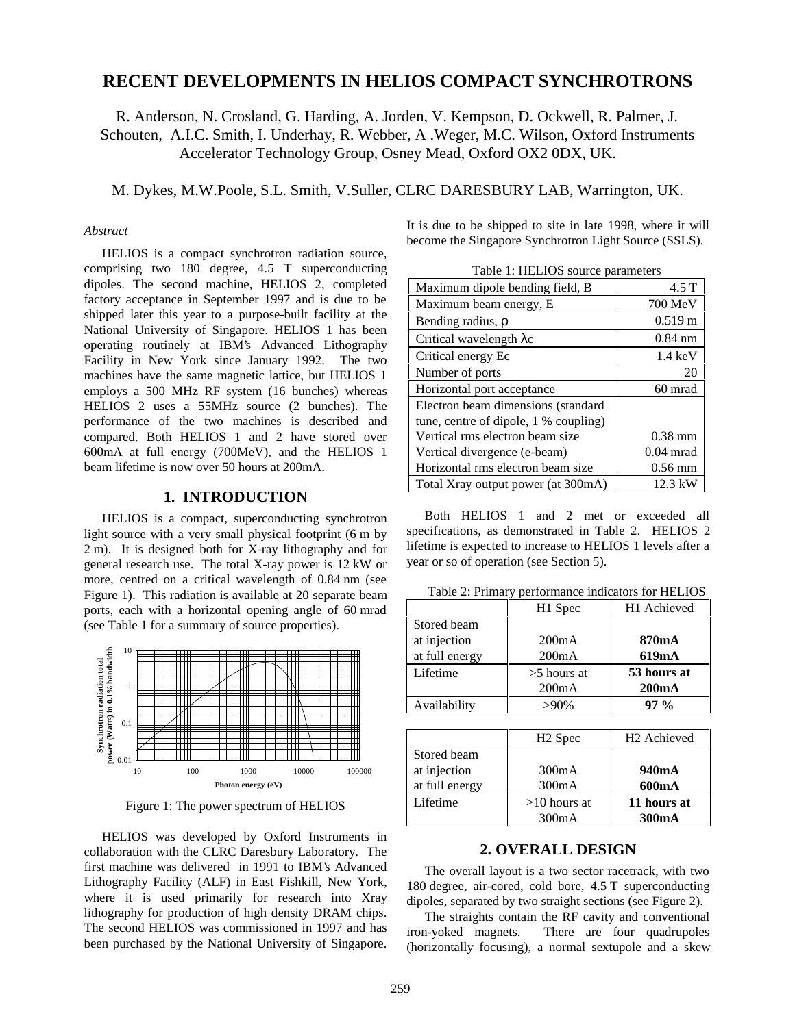# **RECENT DEVELOPMENTS IN HELIOS COMPACT SYNCHROTRONS**

R. Anderson, N. Crosland, G. Harding, A. Jorden, V. Kempson, D. Ockwell, R. Palmer, J. Schouten, A.I.C. Smith, I. Underhay, R. Webber, A .Weger, M.C. Wilson, Oxford Instruments Accelerator Technology Group, Osney Mead, Oxford OX2 0DX, UK.

M. Dykes, M.W.Poole, S.L. Smith, V.Suller, CLRC DARESBURY LAB, Warrington, UK.

### *Abstract*

HELIOS is a compact synchrotron radiation source, comprising two 180 degree, 4.5 T superconducting dipoles. The second machine, HELIOS 2, completed factory acceptance in September 1997 and is due to be shipped later this year to a purpose-built facility at the National University of Singapore. HELIOS 1 has been operating routinely at IBM's Advanced Lithography Facility in New York since January 1992. The two machines have the same magnetic lattice, but HELIOS 1 employs a 500 MHz RF system (16 bunches) whereas HELIOS 2 uses a 55MHz source (2 bunches). The performance of the two machines is described and compared. Both HELIOS 1 and 2 have stored over 600mA at full energy (700MeV), and the HELIOS 1 beam lifetime is now over 50 hours at 200mA.

#### **1. INTRODUCTION**

HELIOS is a compact, superconducting synchrotron light source with a very small physical footprint (6 m by 2 m). It is designed both for X-ray lithography and for general research use. The total X-ray power is 12 kW or more, centred on a critical wavelength of 0.84 nm (see Figure 1). This radiation is available at 20 separate beam ports, each with a horizontal opening angle of 60 mrad (see Table 1 for a summary of source properties).



Figure 1: The power spectrum of HELIOS

HELIOS was developed by Oxford Instruments in collaboration with the CLRC Daresbury Laboratory. The first machine was delivered in 1991 to IBM's Advanced Lithography Facility (ALF) in East Fishkill, New York, where it is used primarily for research into Xray lithography for production of high density DRAM chips. The second HELIOS was commissioned in 1997 and has been purchased by the National University of Singapore.

It is due to be shipped to site in late 1998, where it will become the Singapore Synchrotron Light Source (SSLS).

Table 1: HELIOS source parameters

| Table 1. HELIOS source parameters     |                   |  |  |
|---------------------------------------|-------------------|--|--|
| Maximum dipole bending field, B       | 4.5 T             |  |  |
| Maximum beam energy, E                | 700 MeV           |  |  |
| Bending radius, $\rho$                | $0.519 \text{ m}$ |  |  |
| Critical wavelength λε                | $0.84$ nm         |  |  |
| Critical energy Ec                    | $1.4 \text{ keV}$ |  |  |
| Number of ports                       | 20                |  |  |
| Horizontal port acceptance            | 60 mrad           |  |  |
| Electron beam dimensions (standard    |                   |  |  |
| tune, centre of dipole, 1 % coupling) |                   |  |  |
| Vertical rms electron beam size       | $0.38$ mm         |  |  |
| Vertical divergence (e-beam)          | $0.04$ mrad       |  |  |
| Horizontal rms electron beam size     | $0.56$ mm         |  |  |
| Total Xray output power (at 300mA)    | $12.3$ kW         |  |  |

Both HELIOS 1 and 2 met or exceeded all specifications, as demonstrated in Table 2. HELIOS 2 lifetime is expected to increase to HELIOS 1 levels after a year or so of operation (see Section 5).

Table 2: Primary performance indicators for HELIOS

|                | H1 Spec       | H <sub>1</sub> Achieved |
|----------------|---------------|-------------------------|
| Stored beam    |               |                         |
| at injection   | 200mA         | 870mA                   |
| at full energy | 200mA         | 619mA                   |
| Lifetime       | $>5$ hours at | 53 hours at             |
|                | 200mA         | 200mA                   |
| Availability   | $>90\%$       | $97\%$                  |

|                | H <sub>2</sub> Spec | H <sub>2</sub> Achieved |  |
|----------------|---------------------|-------------------------|--|
| Stored beam    |                     |                         |  |
| at injection   | 300 <sub>m</sub> A  | 940mA                   |  |
| at full energy | 300mA               | 600mA                   |  |
| Lifetime       | $>10$ hours at      | 11 hours at             |  |
|                | 300mA               | 300mA                   |  |

# **2. OVERALL DESIGN**

The overall layout is a two sector racetrack, with two 180 degree, air-cored, cold bore, 4.5 T superconducting dipoles, separated by two straight sections (see Figure 2).

The straights contain the RF cavity and conventional iron-yoked magnets. There are four quadrupoles (horizontally focusing), a normal sextupole and a skew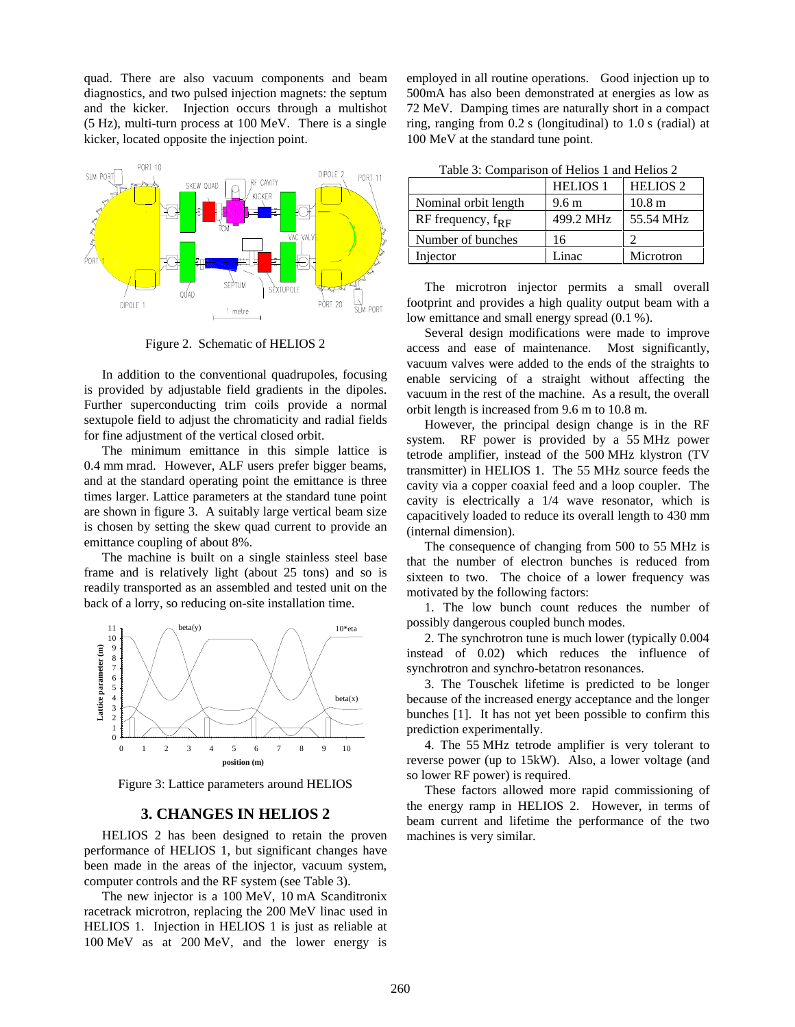quad. There are also vacuum components and beam diagnostics, and two pulsed injection magnets: the septum and the kicker. Injection occurs through a multishot (5 Hz), multi-turn process at 100 MeV. There is a single kicker, located opposite the injection point.



Figure 2. Schematic of HELIOS 2

In addition to the conventional quadrupoles, focusing is provided by adjustable field gradients in the dipoles. Further superconducting trim coils provide a normal sextupole field to adjust the chromaticity and radial fields for fine adjustment of the vertical closed orbit.

The minimum emittance in this simple lattice is 0.4 mm mrad. However, ALF users prefer bigger beams, and at the standard operating point the emittance is three times larger. Lattice parameters at the standard tune point are shown in figure 3. A suitably large vertical beam size is chosen by setting the skew quad current to provide an emittance coupling of about 8%.

The machine is built on a single stainless steel base frame and is relatively light (about 25 tons) and so is readily transported as an assembled and tested unit on the back of a lorry, so reducing on-site installation time.



Figure 3: Lattice parameters around HELIOS

# **3. CHANGES IN HELIOS 2**

HELIOS 2 has been designed to retain the proven performance of HELIOS 1, but significant changes have been made in the areas of the injector, vacuum system, computer controls and the RF system (see Table 3).

The new injector is a 100 MeV, 10 mA Scanditronix racetrack microtron, replacing the 200 MeV linac used in HELIOS 1. Injection in HELIOS 1 is just as reliable at 100 MeV as at 200 MeV, and the lower energy is

employed in all routine operations. Good injection up to 500mA has also been demonstrated at energies as low as 72 MeV. Damping times are naturally short in a compact ring, ranging from 0.2 s (longitudinal) to 1.0 s (radial) at 100 MeV at the standard tune point.

|                        | <b>HELIOS 1</b>  | <b>HELIOS 2</b>   |  |
|------------------------|------------------|-------------------|--|
| Nominal orbit length   | 9.6 <sub>m</sub> | 10.8 <sub>m</sub> |  |
| RF frequency, $f_{RF}$ | 499.2 MHz        | 55.54 MHz         |  |
| Number of bunches      | 16               |                   |  |
| Injector               | Linac            | Microtron         |  |

The microtron injector permits a small overall footprint and provides a high quality output beam with a low emittance and small energy spread (0.1 %).

Several design modifications were made to improve access and ease of maintenance. Most significantly, vacuum valves were added to the ends of the straights to enable servicing of a straight without affecting the vacuum in the rest of the machine. As a result, the overall orbit length is increased from 9.6 m to 10.8 m.

However, the principal design change is in the RF system. RF power is provided by a 55 MHz power tetrode amplifier, instead of the 500 MHz klystron (TV transmitter) in HELIOS 1. The 55 MHz source feeds the cavity via a copper coaxial feed and a loop coupler. The cavity is electrically a 1/4 wave resonator, which is capacitively loaded to reduce its overall length to 430 mm (internal dimension).

The consequence of changing from 500 to 55 MHz is that the number of electron bunches is reduced from sixteen to two. The choice of a lower frequency was motivated by the following factors:

1. The low bunch count reduces the number of possibly dangerous coupled bunch modes.

2. The synchrotron tune is much lower (typically 0.004 instead of 0.02) which reduces the influence of synchrotron and synchro-betatron resonances.

3. The Touschek lifetime is predicted to be longer because of the increased energy acceptance and the longer bunches [1]. It has not yet been possible to confirm this prediction experimentally.

4. The 55 MHz tetrode amplifier is very tolerant to reverse power (up to 15kW). Also, a lower voltage (and so lower RF power) is required.

These factors allowed more rapid commissioning of the energy ramp in HELIOS 2. However, in terms of beam current and lifetime the performance of the two machines is very similar.